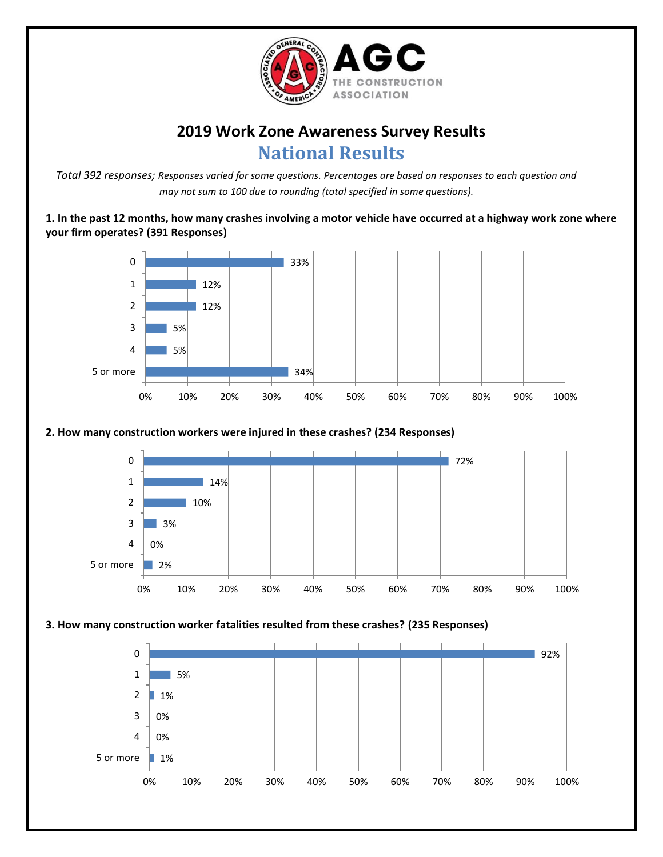

## **2019 Work Zone Awareness Survey Results National Results**

*Total 392 responses; Responses varied for some questions. Percentages are based on responses to each question and may not sum to 100 due to rounding (total specified in some questions).*

**1. In the past 12 months, how many crashes involving a motor vehicle have occurred at a highway work zone where your firm operates? (391 Responses)**



## **2. How many construction workers were injured in these crashes? (234 Responses)**



## **3. How many construction worker fatalities resulted from these crashes? (235 Responses)**

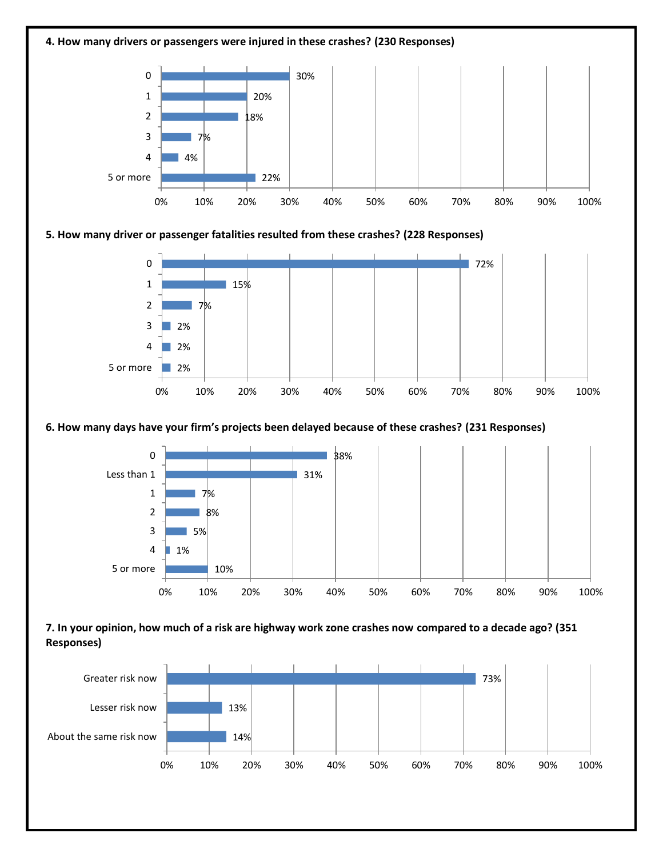